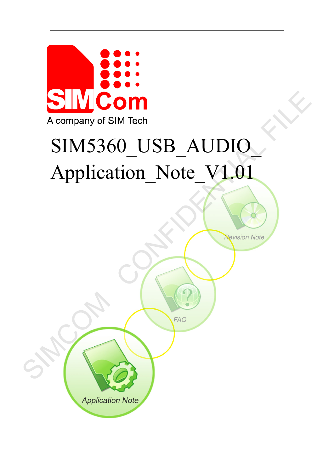

# SIM5360\_USB\_AUDIO\_ Application Note V1.01

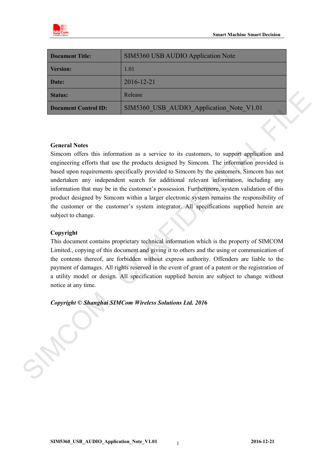

| <b>Document Title:</b>      | SIM5360 USB AUDIO Application Note       |
|-----------------------------|------------------------------------------|
| <b>Version:</b>             | 1.01                                     |
| Date:                       | 2016-12-21                               |
| <b>Status:</b>              | Release                                  |
| <b>Document Control ID:</b> | SIM5360 USB AUDIO Application Note V1.01 |

#### **General Notes**

Simcom offers this information as a service to its customers, to support application and engineering efforts that use the products designed by Simcom. The information provided is based upon requirements specifically provided to Simcom by the customers. Simcom has not undertaken any independent search for additional relevant information, including any information that may be in the customer's possession. Furthermore, system validation of this product designed by Simcom within a larger electronic system remains the responsibility of the customer or the customer's system integrator. All specifications supplied herein are subject to change. Status:<br>
Redease<br>
Decument Central ID: SIMS360\_USB\_AUDIO\_Application\_Note\_V1.01<br>
Simple and the status than the product designed by Simcom. The infegration provided is<br>
one of the substrained as a service to is usualized

#### **Copyright**

This document contains proprietary technical information which is the property of SIMCOM Limited., copying of this document and giving it to others and the using or communication of the contents thereof, are forbidden without express authority. Offenders are liable to the payment of damages. All rights reserved in the event of grant of a patent or the registration of a utility model or design. All specification supplied herein are subject to change without notice at any time.

#### *Copyright © Shanghai SIMCom Wireless Solutions Ltd. 201***6**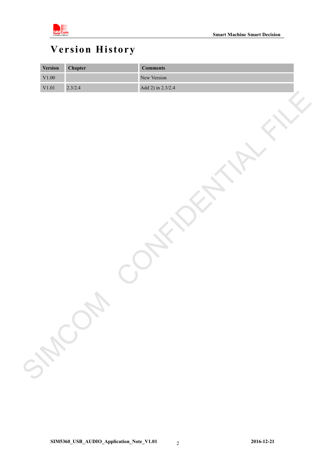

# <span id="page-2-0"></span>**Version History**

| <b>Version</b> | <b>Chapter</b> | <b>Comments</b>   |
|----------------|----------------|-------------------|
| $\rm V1.00$    |                | New Version       |
| V1.01          | 2.3/2.4        | Add 2) in 2.3/2.4 |
|                |                |                   |
|                |                |                   |
|                |                |                   |
|                |                |                   |
|                |                |                   |
|                |                |                   |
|                |                |                   |
|                |                |                   |
|                |                |                   |
|                |                |                   |
|                |                |                   |
|                |                |                   |
|                |                |                   |
|                |                |                   |
|                |                |                   |
|                |                |                   |
|                |                |                   |
|                |                |                   |
|                |                |                   |
|                |                |                   |
|                |                |                   |
|                |                |                   |
|                |                |                   |
|                |                |                   |
|                |                |                   |
|                | SHOL           |                   |
|                |                |                   |
|                |                |                   |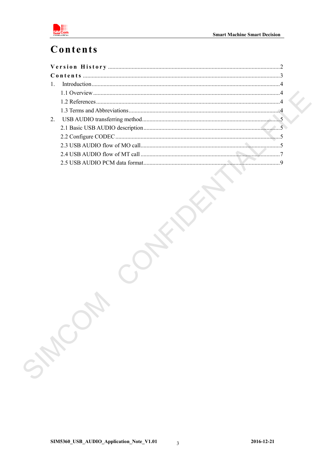

# <span id="page-3-0"></span>Contents

| 2 <sub>1</sub> |  |  |  |
|----------------|--|--|--|
|                |  |  |  |
|                |  |  |  |
|                |  |  |  |
|                |  |  |  |
|                |  |  |  |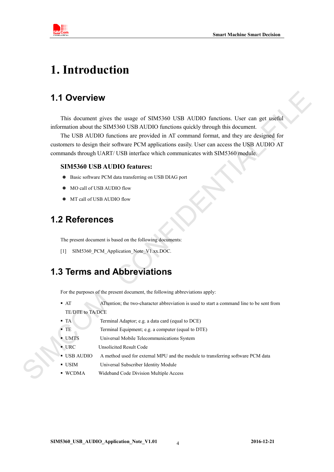

# <span id="page-4-0"></span>**1. Introduction**

## **1.1 Overview**

This document gives the usage of SIM5360 USB AUDIO functions. User can get useful information about the SIM5360 USB AUDIO functions quickly through this document.

<span id="page-4-1"></span>The USB AUDIO functions are provided in AT command format, and they are designed for customers to design their software PCM applications easily. User can access the USB AUDIO AT commands through UART/ USB interface which communicates with SIM5360 module. The usage of SIM5360 USB AUDIO functions. User can get useful<br>
S360 USB AUDIO functions quickly through this document.<br>
Etions are provided in AT command format, and they are designed for<br>
of thware PCM applications easily

#### **SIM5360 USB AUDIO features:**

- Basic software PCM data transferring on USB DIAG port
- $\bullet$  MO call of USB AUDIO flow
- $\bullet$  MT call of USB AUDIO flow

#### <span id="page-4-2"></span>**1.2 References**

The present document is based on the following documents:

[1] SIM5360 PCM Application Note V1.xx.DOC.

## <span id="page-4-3"></span>**1.3 Terms and Abbreviations**

For the purposes of the present document, the following abbreviations apply:

- AT ATTention; the two-character abbreviation is used to start a command line to be sent from TE/DTE to TA/DCE For the purposes of the prese<br>
• AT ATtentior<br>
TE/DTE to TA/DCE<br>
• TA Terminal<br>
• TE Terminal<br>
• UMTS Universal<br>
• URC Unsolicite<br>
• USB AUDIO A method<br>
• USIM Universal<br>
• WCDMA Wideband
	- TA Terminal Adaptor; e.g. a data card (equal to DCE)
	- TE Terminal Equipment; e.g. a computer (equal to DTE)
	- UMTS Universal Mobile Telecommunications System
	- URC Unsolicited Result Code
	- USB AUDIO A method used for external MPU and the module to transferring software PCM data
	- USIM Universal Subscriber Identity Module
	- WCDMA Wideband Code Division Multiple Access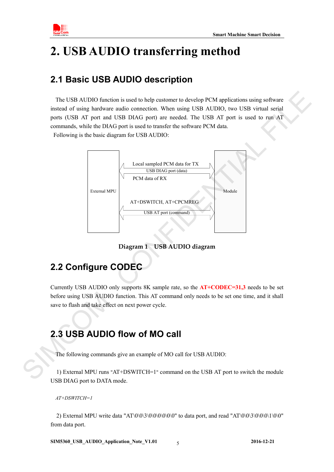

# <span id="page-5-0"></span>**2. USB AUDIO transferring method**

## <span id="page-5-1"></span>**2.1 Basic USB AUDIO description**

 The USB AUDIO function is used to help customer to develop PCM applications using software instead of using hardware audio connection. When using USB AUDIO, two USB virtual serial ports (USB AT port and USB DIAG port) are needed. The USB AT port is used to run AT commands, while the DIAG port is used to transfer the software PCM data. Following is the basic diagram for USB AUDIO:



**Diagram 1 USB AUDIO diagram**

## <span id="page-5-2"></span>**2.2 Configure CODEC**

Currently USB AUDIO only supports 8K sample rate, so the **AT+CODEC=31,3** needs to be set before using USB AUDIO function. This AT command only needs to be set one time, and it shall save to flash and take effect on next power cycle.

## <span id="page-5-3"></span>**2.3 USB AUDIO flow of MO call**

The following commands give an example of MO call for USB AUDIO:

1) External MPU runs "AT+DSWITCH=1" command on the USB AT port to switch the module USB DIAG port to DATA mode.

*AT+DSWITCH=1*

2) External MPU write data "AT\0\0\3\0\0\0\0\0\0" to data port, and read "AT\0\0\3\0\0\0\1\0\0" from data port.

**SIM5360\_USB\_AUDIO\_Application\_Note\_V1.01 2016-12-21** 5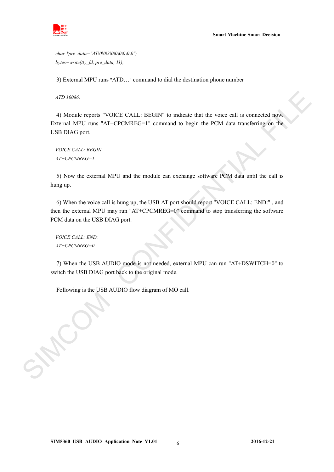

*char \*pre\_data="AT\0\0\3\0\0\0\0\0\0\0"; bytes=write(tty\_fd, pre\_data, 11);*

3) External MPU runs "ATD…" command to dial the destination phone number

*ATD 10086;*

4) Module reports "VOICE CALL: BEGIN" to indicate that the voice call is connected now. External MPU runs "AT+CPCMREG=1" command to begin the PCM data transferring on the USB DIAG port. *ATD 10086.*<br>
4) Module reports "VOICE CALL: BEGIN" to indicate that the voice call is connected now.<br>
Fextrant MPI and "AT-CPCMRFG=1" command to hegin the PCM data transferring on the<br>
1980/45 CML: BRGW<br>
17+CPCMRG=1<br>
199

*VOICE CALL: BEGIN AT+CPCMREG=1*

5) Now the external MPU and the module can exchange software PCM data until the call is hung up.

6) When the voice call is hung up, the USB AT port should report "VOICE CALL: END:" , and then the external MPU may run "AT+CPCMREG=0" command to stop transferring the software PCM data on the USB DIAG port.

*VOICE CALL: END: AT+CPCMREG=0*

7) When the USB AUDIO mode is not needed, external MPU can run "AT+DSWITCH=0" to switch the USB DIAG port back to the original mode.

Following is the USB AUDIO flow diagram of MO call.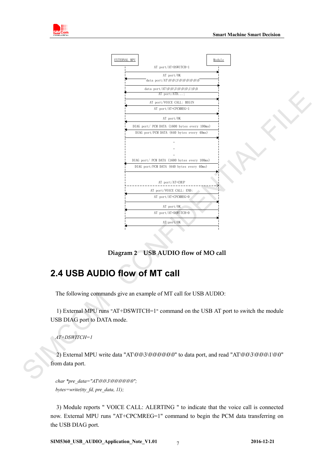

**Diagram 2 USB AUDIO flow of MO call**

## <span id="page-7-0"></span>**2.4 USB AUDIO flow of MT call**

The following commands give an example of MT call for USB AUDIO:

1) External MPU runs "AT+DSWITCH=1" command on the USB AT port to switch the module USB DIAG port to DATA mode.

*AT+DSWITCH=1*

2) External MPU write data "AT\0\0\3\0\0\0\0\0\0" to data port, and read "AT\0\0\3\0\0\0\1\0\0" from data port.

*char \*pre\_data="AT\0\0\3\0\0\0\0\0\0\0"*; *bytes=write(tty\_fd, pre\_data, 11);*

3) Module reports " VOICE CALL: ALERTING " to indicate that the voice call is connected now. External MPU runs "AT+CPCMREG=1" command to begin the PCM data transferring on the USB DIAG port.

**SIM5360\_USB\_AUDIO\_Application\_Note\_V1.01 2016-12-21** 7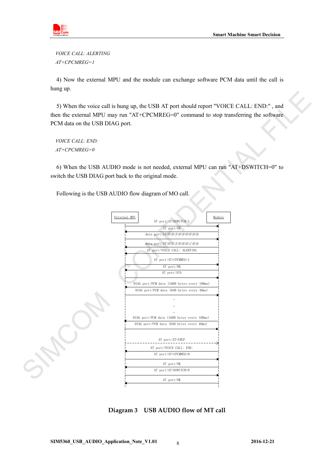

*VOICE CALL: ALERTING AT+CPCMREG=1*

4) Now the external MPU and the module can exchange software PCM data until the call is hung up.

5) When the voice call is hung up, the USB AT port should report "VOICE CALL: END:" , and then the external MPU may run "AT+CPCMREG=0" command to stop transferring the software PCM data on the USB DIAG port.

*VOICE CALL: END: AT+CPCMREG=0*

6) When the USB AUDIO mode is not needed, external MPU can run "AT+DSWITCH=0" to switch the USB DIAG port back to the original mode.

Following is the USB AUDIO flow diagram of MO call.



**Diagram 3 USB AUDIO flow of MT call**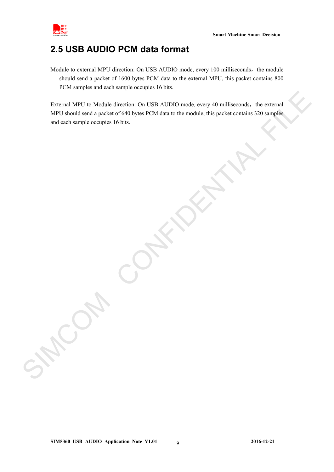

#### <span id="page-9-0"></span>**2.5 USB AUDIO PCM data format**

Module to external MPU direction: On USB AUDIO mode, every 100 milliseconds, the module should send a packet of 1600 bytes PCM data to the external MPU, this packet contains 800 PCM samples and each sample occupies 16 bits.

External MPU to Module direction: On USB AUDIO mode, every 40 milliseconds, the external MPU should send a packet of 640 bytes PCM data to the module, this packet contains 320 samples and each sample occupies 16 bits. External MPU to Module direction: On USB AUDIO mode, every 40 milliseconds. the external MPU should send a precket of 6410 hyte; PCM data to the module, this precket contains 320 samples and each sample occupies 16 bits.